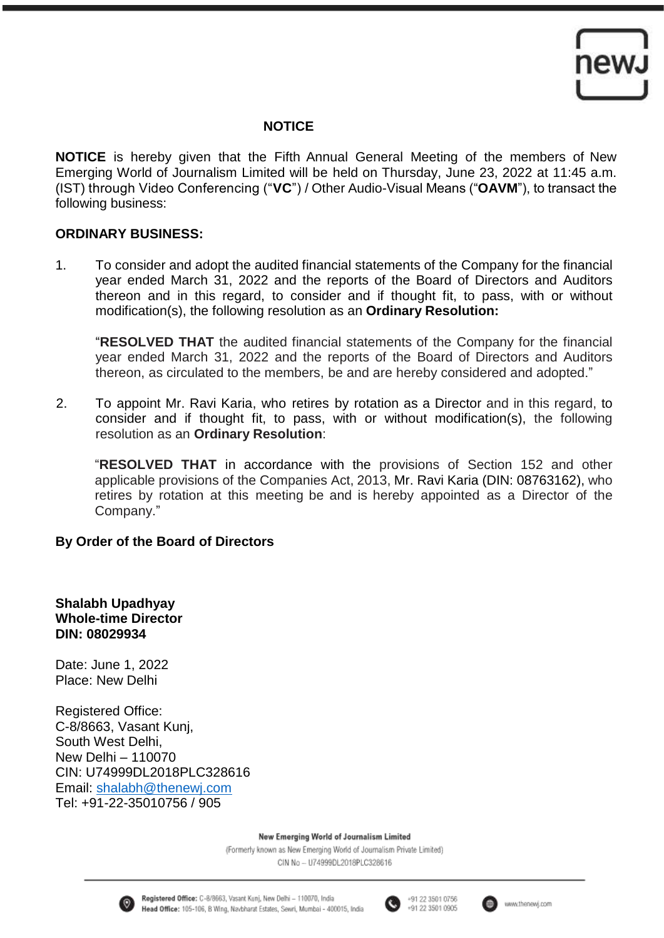

### **NOTICE**

**NOTICE** is hereby given that the Fifth Annual General Meeting of the members of New Emerging World of Journalism Limited will be held on Thursday, June 23, 2022 at 11:45 a.m. (IST) through Video Conferencing ("**VC**") / Other Audio-Visual Means ("**OAVM**"), to transact the following business:

### **ORDINARY BUSINESS:**

1. To consider and adopt the audited financial statements of the Company for the financial year ended March 31, 2022 and the reports of the Board of Directors and Auditors thereon and in this regard, to consider and if thought fit, to pass, with or without modification(s), the following resolution as an **Ordinary Resolution:**

"**RESOLVED THAT** the audited financial statements of the Company for the financial year ended March 31, 2022 and the reports of the Board of Directors and Auditors thereon, as circulated to the members, be and are hereby considered and adopted."

2. To appoint Mr. Ravi Karia, who retires by rotation as a Director and in this regard, to consider and if thought fit, to pass, with or without modification(s), the following resolution as an **Ordinary Resolution**:

"**RESOLVED THAT** in accordance with the provisions of Section 152 and other applicable provisions of the Companies Act, 2013, Mr. Ravi Karia (DIN: 08763162), who retires by rotation at this meeting be and is hereby appointed as a Director of the Company."

# **By Order of the Board of Directors**

**Shalabh Upadhyay Whole-time Director DIN: 08029934** 

Date: June 1, 2022 Place: New Delhi

Registered Office: C-8/8663, Vasant Kunj, South West Delhi, New Delhi – 110070 CIN: U74999DL2018PLC328616 Email: [shalabh@thenewj.com](mailto:shalabh@thenewj.com) Tel: +91-22-35010756 / 905

New Emerging World of Journalism Limited





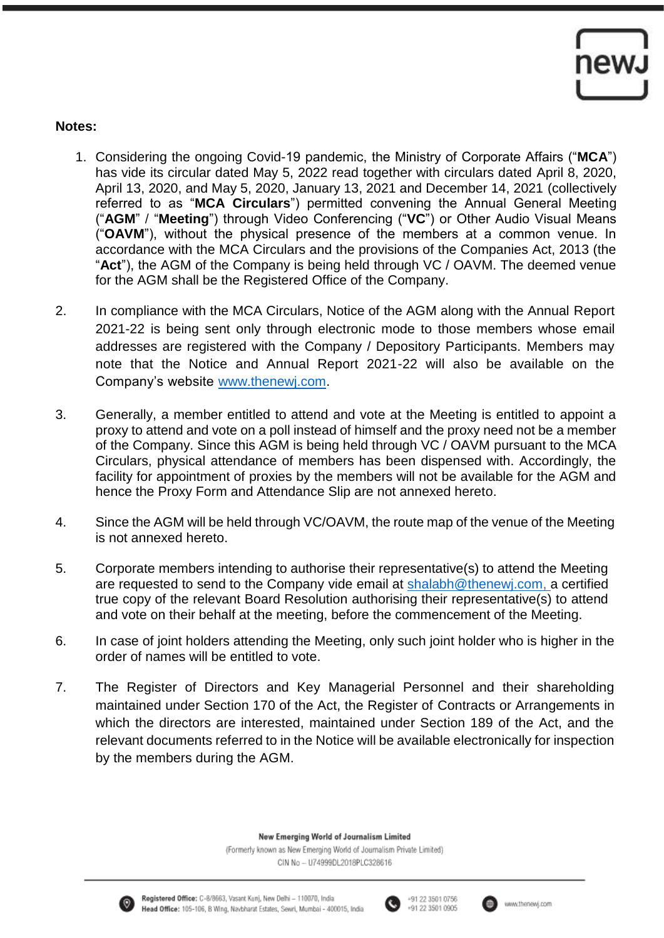

### **Notes:**

- 1. Considering the ongoing Covid-19 pandemic, the Ministry of Corporate Affairs ("**MCA**") has vide its circular dated May 5, 2022 read together with circulars dated April 8, 2020, April 13, 2020, and May 5, 2020, January 13, 2021 and December 14, 2021 (collectively referred to as "**MCA Circulars**") permitted convening the Annual General Meeting ("**AGM**" / "**Meeting**") through Video Conferencing ("**VC**") or Other Audio Visual Means ("**OAVM**"), without the physical presence of the members at a common venue. In accordance with the MCA Circulars and the provisions of the Companies Act, 2013 (the "**Act**"), the AGM of the Company is being held through VC / OAVM. The deemed venue for the AGM shall be the Registered Office of the Company.
- 2. In compliance with the MCA Circulars, Notice of the AGM along with the Annual Report 2021-22 is being sent only through electronic mode to those members whose email addresses are registered with the Company / Depository Participants. Members may note that the Notice and Annual Report 2021-22 will also be available on the Company's website [www.thenewj.com.](http://www.thenewj.com/)
- 3. Generally, a member entitled to attend and vote at the Meeting is entitled to appoint a proxy to attend and vote on a poll instead of himself and the proxy need not be a member of the Company. Since this AGM is being held through VC / OAVM pursuant to the MCA Circulars, physical attendance of members has been dispensed with. Accordingly, the facility for appointment of proxies by the members will not be available for the AGM and hence the Proxy Form and Attendance Slip are not annexed hereto.
- 4. Since the AGM will be held through VC/OAVM, the route map of the venue of the Meeting is not annexed hereto.
- 5. Corporate members intending to authorise their representative(s) to attend the Meeting are requested to send to the Company vide email at [shalabh@thenewj.com,](mailto:shalabh@thenewj.com) a certified true copy of the relevant Board Resolution authorising their representative(s) to attend and vote on their behalf at the meeting, before the commencement of the Meeting.
- 6. In case of joint holders attending the Meeting, only such joint holder who is higher in the order of names will be entitled to vote.
- 7. The Register of Directors and Key Managerial Personnel and their shareholding maintained under Section 170 of the Act, the Register of Contracts or Arrangements in which the directors are interested, maintained under Section 189 of the Act, and the relevant documents referred to in the Notice will be available electronically for inspection by the members during the AGM.

New Emerging World of Journalism Limited





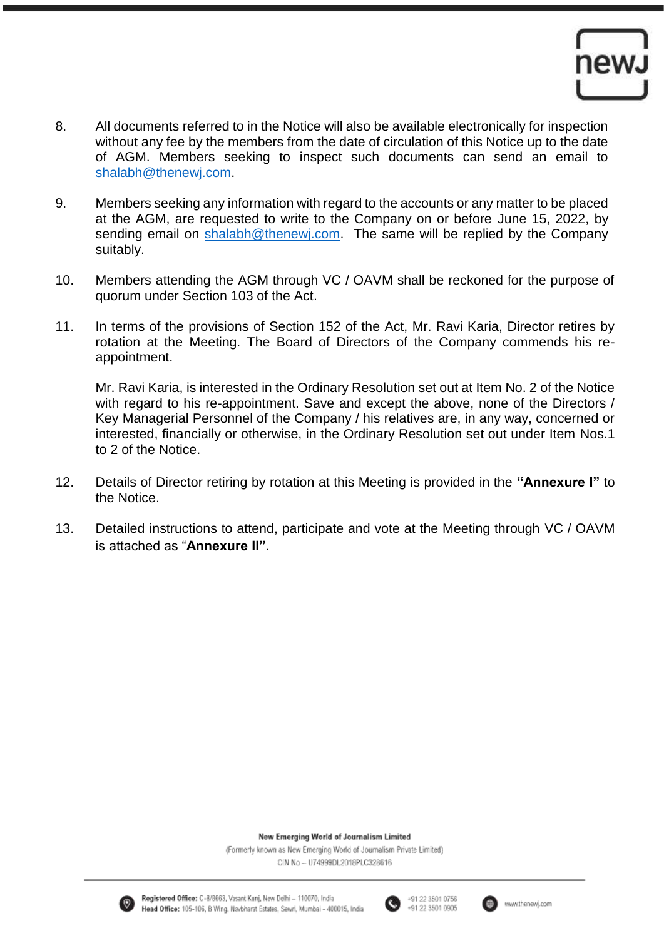

- 8. All documents referred to in the Notice will also be available electronically for inspection without any fee by the members from the date of circulation of this Notice up to the date of AGM. Members seeking to inspect such documents can send an email to [shalabh@thenewj.com.](mailto:shalabh@thenewj.com)
- 9. Members seeking any information with regard to the accounts or any matter to be placed at the AGM, are requested to write to the Company on or before June 15, 2022, by sending email on [shalabh@thenewj.com.](mailto:shalabh@thenewj.com) The same will be replied by the Company suitably.
- 10. Members attending the AGM through VC / OAVM shall be reckoned for the purpose of quorum under Section 103 of the Act.
- 11. In terms of the provisions of Section 152 of the Act, Mr. Ravi Karia, Director retires by rotation at the Meeting. The Board of Directors of the Company commends his reappointment.

Mr. Ravi Karia, is interested in the Ordinary Resolution set out at Item No. 2 of the Notice with regard to his re-appointment. Save and except the above, none of the Directors / Key Managerial Personnel of the Company / his relatives are, in any way, concerned or interested, financially or otherwise, in the Ordinary Resolution set out under Item Nos.1 to 2 of the Notice.

- 12. Details of Director retiring by rotation at this Meeting is provided in the **"Annexure I"** to the Notice.
- 13. Detailed instructions to attend, participate and vote at the Meeting through VC / OAVM is attached as "**Annexure II"**.

New Emerging World of Journalism Limited







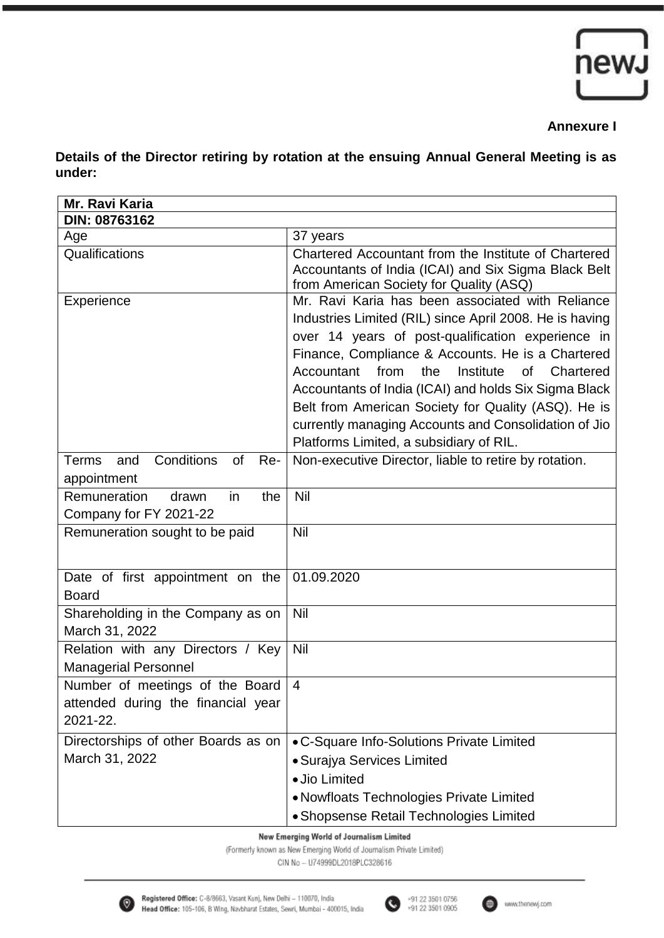

## **Annexure I**

**Details of the Director retiring by rotation at the ensuing Annual General Meeting is as under:**

| Mr. Ravi Karia                                                                    |                                                                                                                                                                                                                                                                                                                                                                                                                                                                                                       |
|-----------------------------------------------------------------------------------|-------------------------------------------------------------------------------------------------------------------------------------------------------------------------------------------------------------------------------------------------------------------------------------------------------------------------------------------------------------------------------------------------------------------------------------------------------------------------------------------------------|
| DIN: 08763162                                                                     |                                                                                                                                                                                                                                                                                                                                                                                                                                                                                                       |
| Age                                                                               | 37 years                                                                                                                                                                                                                                                                                                                                                                                                                                                                                              |
| Qualifications                                                                    | Chartered Accountant from the Institute of Chartered<br>Accountants of India (ICAI) and Six Sigma Black Belt<br>from American Society for Quality (ASQ)                                                                                                                                                                                                                                                                                                                                               |
| Experience                                                                        | Mr. Ravi Karia has been associated with Reliance<br>Industries Limited (RIL) since April 2008. He is having<br>over 14 years of post-qualification experience in<br>Finance, Compliance & Accounts. He is a Chartered<br>from<br>the<br>Institute<br>Chartered<br>Accountant<br>0f<br>Accountants of India (ICAI) and holds Six Sigma Black<br>Belt from American Society for Quality (ASQ). He is<br>currently managing Accounts and Consolidation of Jio<br>Platforms Limited, a subsidiary of RIL. |
| Conditions<br><b>Terms</b><br>and<br><b>of</b><br>Re-<br>appointment              | Non-executive Director, liable to retire by rotation.                                                                                                                                                                                                                                                                                                                                                                                                                                                 |
| <b>Remuneration</b><br>drawn<br>the<br>in<br>Company for FY 2021-22               | Nil                                                                                                                                                                                                                                                                                                                                                                                                                                                                                                   |
| Remuneration sought to be paid                                                    | Nil                                                                                                                                                                                                                                                                                                                                                                                                                                                                                                   |
| Date of first appointment on the<br><b>Board</b>                                  | 01.09.2020                                                                                                                                                                                                                                                                                                                                                                                                                                                                                            |
| Shareholding in the Company as on<br>March 31, 2022                               | Nil                                                                                                                                                                                                                                                                                                                                                                                                                                                                                                   |
| Relation with any Directors / Key<br><b>Managerial Personnel</b>                  | Nil                                                                                                                                                                                                                                                                                                                                                                                                                                                                                                   |
| Number of meetings of the Board<br>attended during the financial year<br>2021-22. | $\overline{4}$                                                                                                                                                                                                                                                                                                                                                                                                                                                                                        |
| Directorships of other Boards as on                                               | • C-Square Info-Solutions Private Limited                                                                                                                                                                                                                                                                                                                                                                                                                                                             |
| March 31, 2022                                                                    | • Surajya Services Limited                                                                                                                                                                                                                                                                                                                                                                                                                                                                            |
|                                                                                   | · Jio Limited                                                                                                                                                                                                                                                                                                                                                                                                                                                                                         |
|                                                                                   |                                                                                                                                                                                                                                                                                                                                                                                                                                                                                                       |
|                                                                                   |                                                                                                                                                                                                                                                                                                                                                                                                                                                                                                       |
|                                                                                   | • Nowfloats Technologies Private Limited<br>• Shopsense Retail Technologies Limited                                                                                                                                                                                                                                                                                                                                                                                                                   |

New Emerging World of Journalism Limited

(Formerly known as New Emerging World of Journalism Private Limited)

CIN No - U74999DL2018PLC328616



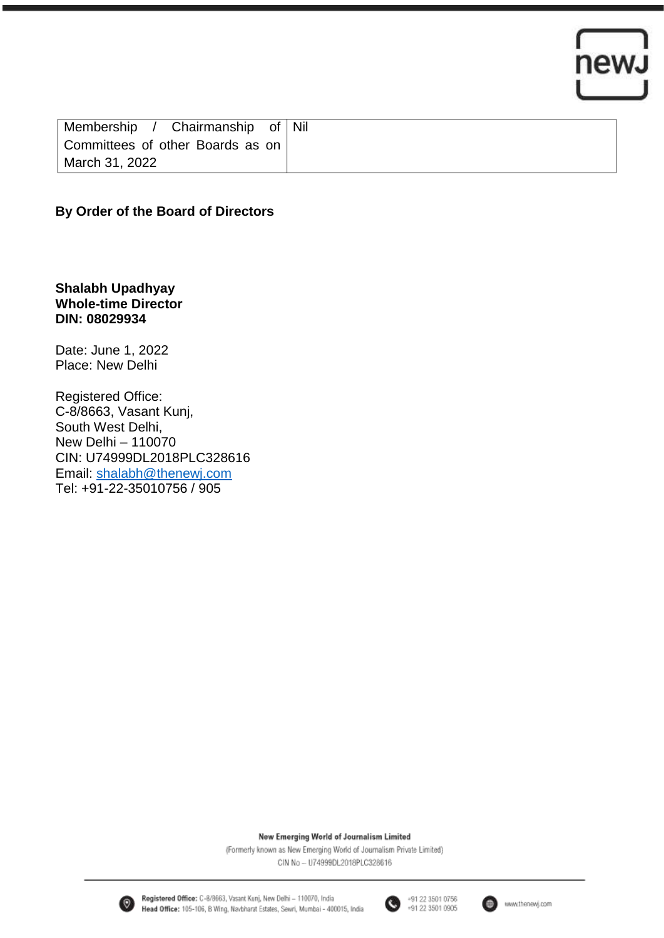

| Chairmanship of Nil<br>Membership / |  |
|-------------------------------------|--|
| Committees of other Boards as on    |  |
| March 31, 2022                      |  |

### **By Order of the Board of Directors**

**Shalabh Upadhyay Whole-time Director DIN: 08029934** 

Date: June 1, 2022 Place: New Delhi

Registered Office: C-8/8663, Vasant Kunj, South West Delhi, New Delhi – 110070 CIN: U74999DL2018PLC328616 Email: [shalabh@thenewj.com](mailto:shalabh@thenewj.com) Tel: +91-22-35010756 / 905

New Emerging World of Journalism Limited

(Formerly known as New Emerging World of Journalism Private Limited) CIN No - U74999DL2018PLC328616



Registered Office: C-8/8663, Vasant Kunj, New Delhi - 110070, India Head Office: 105-106, B Wing, Navbharat Estates, Sewri, Mumbai - 400015, India



+91 22 3501 0756<br>+91 22 3501 0905

(曲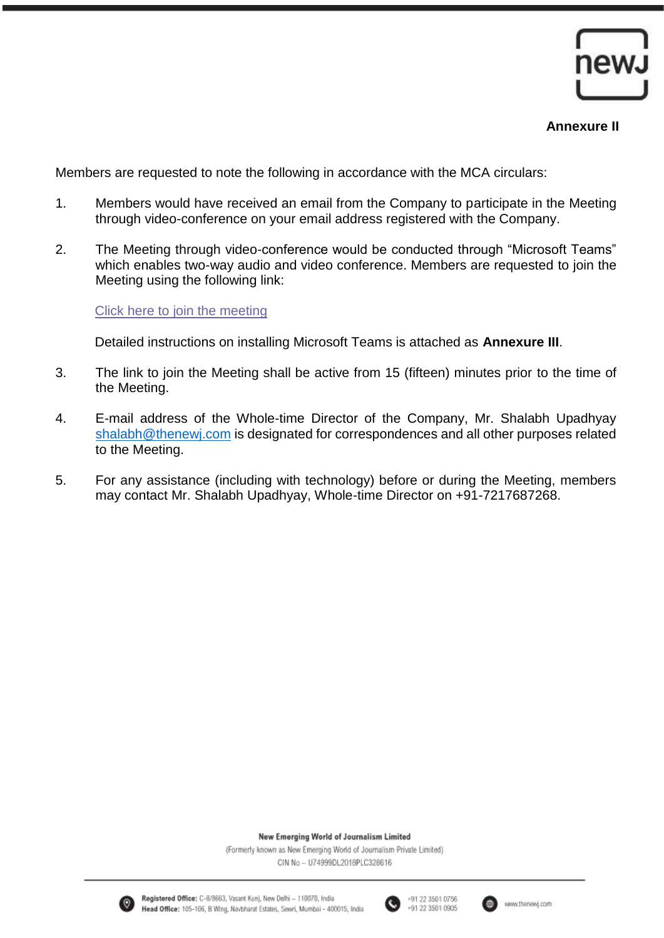

#### **Annexure II**

Members are requested to note the following in accordance with the MCA circulars:

- 1. Members would have received an email from the Company to participate in the Meeting through video-conference on your email address registered with the Company.
- 2. The Meeting through video-conference would be conducted through "Microsoft Teams" which enables two-way audio and video conference. Members are requested to join the Meeting using the following link:

#### [Click here to join the meeting](https://teams.microsoft.com/l/meetup-join/19%3ameeting_ZjdiMmQ0ZDgtMGJmYy00NDMyLThkODAtMDg4M2FlYjE1Yjkx%40thread.v2/0?context=%7b%22Tid%22%3a%22fe1d95a9-4ce1-41a5-8eab-6dd43aa26d9f%22%2c%22Oid%22%3a%22a2a4a4df-9e01-4c23-b3cc-90a5e4e9a18a%22%7d)

Detailed instructions on installing Microsoft Teams is attached as **Annexure III**.

- 3. The link to join the Meeting shall be active from 15 (fifteen) minutes prior to the time of the Meeting.
- 4. E-mail address of the Whole-time Director of the Company, Mr. Shalabh Upadhyay [shalabh@thenewj.com](mailto:shalabh@thenewj.com) is designated for correspondences and all other purposes related to the Meeting.
- 5. For any assistance (including with technology) before or during the Meeting, members may contact Mr. Shalabh Upadhyay, Whole-time Director on +91-7217687268.

New Emerging World of Journalism Limited

(Formerly known as New Emerging World of Journalism Private Limited) CIN No - U74999DL2018PLC328616



Registered Office: C-8/8663, Vasant Kunj, New Delhi - 110070, India Head Office: 105-106, B Wing, Navbharat Estates, Sewri, Mumbai - 400015, India



+91 22 3501 0756 +91 22 3501 0905